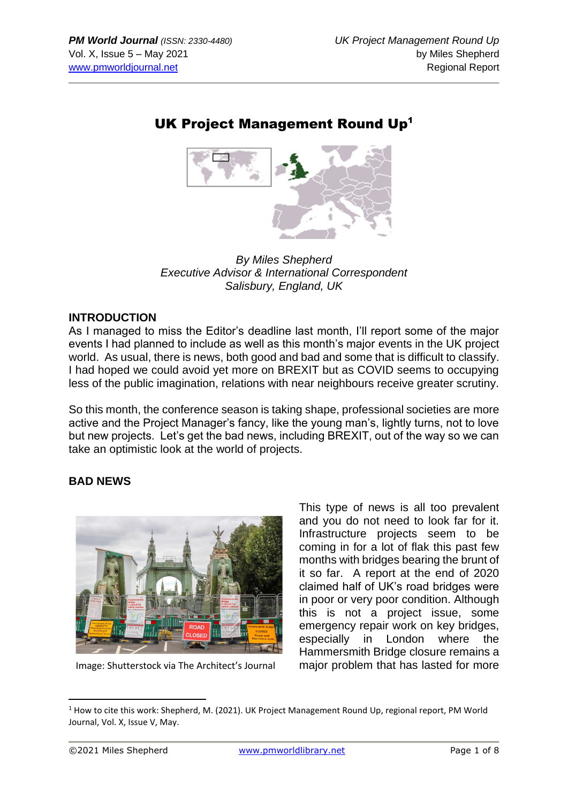# UK Project Management Round Up<sup>1</sup>



*By Miles Shepherd Executive Advisor & International Correspondent Salisbury, England, UK*

#### **INTRODUCTION**

As I managed to miss the Editor's deadline last month, I'll report some of the major events I had planned to include as well as this month's major events in the UK project world. As usual, there is news, both good and bad and some that is difficult to classify. I had hoped we could avoid yet more on BREXIT but as COVID seems to occupying less of the public imagination, relations with near neighbours receive greater scrutiny.

So this month, the conference season is taking shape, professional societies are more active and the Project Manager's fancy, like the young man's, lightly turns, not to love but new projects. Let's get the bad news, including BREXIT, out of the way so we can take an optimistic look at the world of projects.

## **BAD NEWS**



Image: Shutterstock via The Architect's Journal

This type of news is all too prevalent and you do not need to look far for it. Infrastructure projects seem to be coming in for a lot of flak this past few months with bridges bearing the brunt of it so far. A report at the end of 2020 claimed half of UK's road bridges were in poor or very poor condition. Although this is not a project issue, some emergency repair work on key bridges, especially in London where the Hammersmith Bridge closure remains a major problem that has lasted for more

 $1$  How to cite this work: Shepherd, M. (2021). UK Project Management Round Up, regional report, PM World Journal, Vol. X, Issue V, May.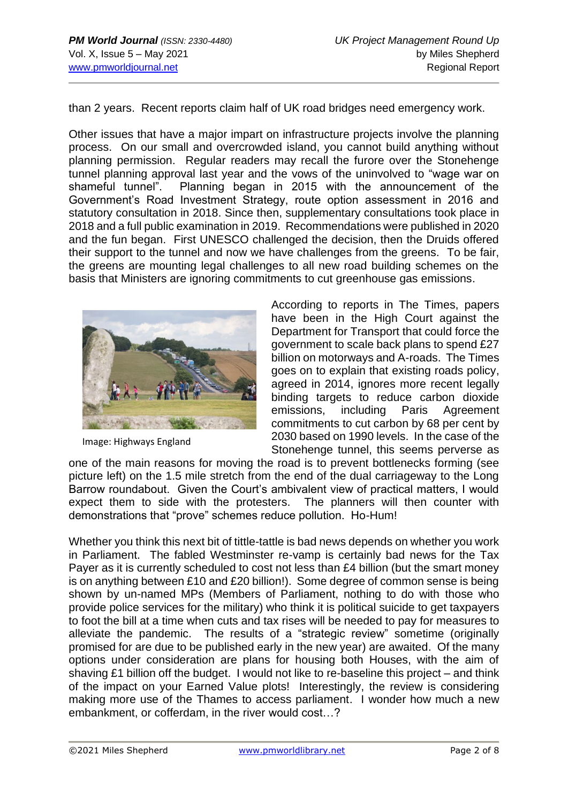than 2 years. Recent reports claim half of UK road bridges need emergency work.

Other issues that have a major impart on infrastructure projects involve the planning process. On our small and overcrowded island, you cannot build anything without planning permission. Regular readers may recall the furore over the Stonehenge tunnel planning approval last year and the vows of the uninvolved to "wage war on shameful tunnel". Planning began in 2015 with the announcement of the Government's Road Investment Strategy, route option assessment in 2016 and statutory consultation in 2018. Since then, supplementary consultations took place in 2018 and a full public examination in 2019. Recommendations were published in 2020 and the fun began. First UNESCO challenged the decision, then the Druids offered their support to the tunnel and now we have challenges from the greens. To be fair, the greens are mounting legal challenges to all new road building schemes on the basis that Ministers are ignoring commitments to cut greenhouse gas emissions.



Image: Highways England

According to reports in The Times, papers have been in the High Court against the Department for Transport that could force the government to scale back plans to spend £27 billion on motorways and A-roads. The Times goes on to explain that existing roads policy, agreed in 2014, ignores more recent legally binding targets to reduce carbon dioxide emissions, including Paris Agreement commitments to cut carbon by 68 per cent by 2030 based on 1990 levels. In the case of the Stonehenge tunnel, this seems perverse as

one of the main reasons for moving the road is to prevent bottlenecks forming (see picture left) on the 1.5 mile stretch from the end of the dual carriageway to the Long Barrow roundabout. Given the Court's ambivalent view of practical matters, I would expect them to side with the protesters. The planners will then counter with demonstrations that "prove" schemes reduce pollution. Ho-Hum!

Whether you think this next bit of tittle-tattle is bad news depends on whether you work in Parliament. The fabled Westminster re-vamp is certainly bad news for the Tax Payer as it is currently scheduled to cost not less than £4 billion (but the smart money is on anything between £10 and £20 billion!). Some degree of common sense is being shown by un-named MPs (Members of Parliament, nothing to do with those who provide police services for the military) who think it is political suicide to get taxpayers to foot the bill at a time when cuts and tax rises will be needed to pay for measures to alleviate the pandemic. The results of a "strategic review" sometime (originally promised for are due to be published early in the new year) are awaited. Of the many options under consideration are plans for housing both Houses, with the aim of shaving £1 billion off the budget. I would not like to re-baseline this project – and think of the impact on your Earned Value plots! Interestingly, the review is considering making more use of the Thames to access parliament. I wonder how much a new embankment, or cofferdam, in the river would cost…?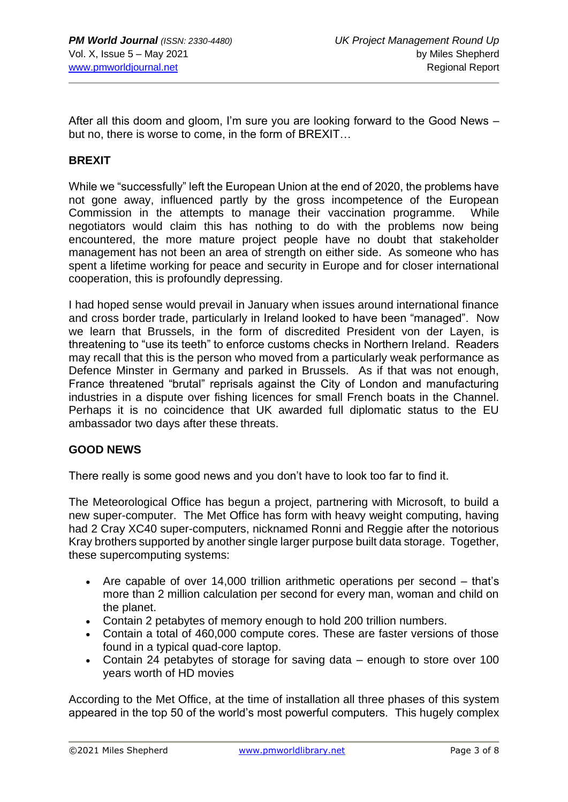After all this doom and gloom, I'm sure you are looking forward to the Good News – but no, there is worse to come, in the form of BREXIT…

#### **BREXIT**

While we "successfully" left the European Union at the end of 2020, the problems have not gone away, influenced partly by the gross incompetence of the European Commission in the attempts to manage their vaccination programme. While negotiators would claim this has nothing to do with the problems now being encountered, the more mature project people have no doubt that stakeholder management has not been an area of strength on either side. As someone who has spent a lifetime working for peace and security in Europe and for closer international cooperation, this is profoundly depressing.

I had hoped sense would prevail in January when issues around international finance and cross border trade, particularly in Ireland looked to have been "managed". Now we learn that Brussels, in the form of discredited President von der Layen, is threatening to "use its teeth" to enforce customs checks in Northern Ireland. Readers may recall that this is the person who moved from a particularly weak performance as Defence Minster in Germany and parked in Brussels. As if that was not enough, France threatened "brutal" reprisals against the City of London and manufacturing industries in a dispute over fishing licences for small French boats in the Channel. Perhaps it is no coincidence that UK awarded full diplomatic status to the EU ambassador two days after these threats.

#### **GOOD NEWS**

There really is some good news and you don't have to look too far to find it.

The Meteorological Office has begun a project, partnering with Microsoft, to build a new super-computer. The Met Office has form with heavy weight computing, having had 2 Cray XC40 super-computers, nicknamed Ronni and Reggie after the notorious Kray brothers supported by another single larger purpose built data storage. Together, these supercomputing systems:

- Are capable of over 14,000 trillion arithmetic operations per second that's more than 2 million calculation per second for every man, woman and child on the planet.
- Contain 2 petabytes of memory enough to hold 200 trillion numbers.
- Contain a total of 460,000 compute cores. These are faster versions of those found in a typical quad-core laptop.
- Contain 24 petabytes of storage for saving data enough to store over 100 years worth of HD movies

According to the Met Office, at the time of installation all three phases of this system appeared in the top 50 of the world's most powerful computers. This hugely complex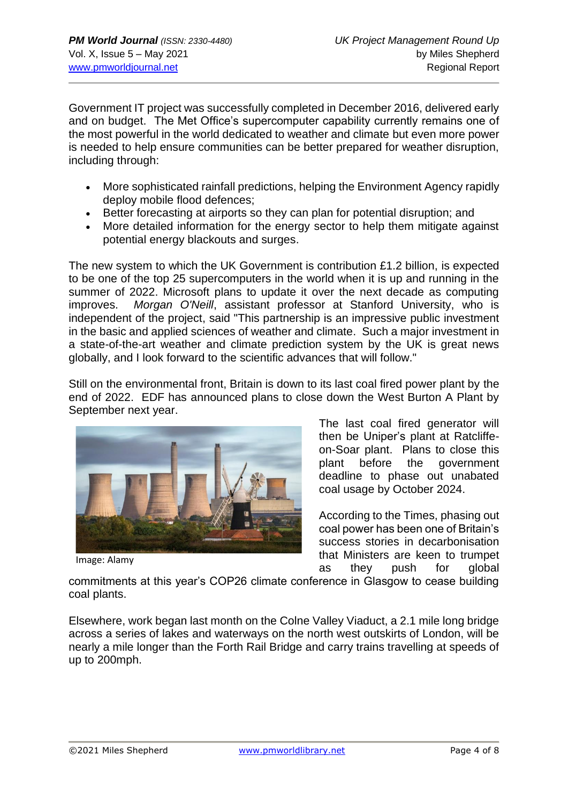Government IT project was successfully completed in December 2016, delivered early and on budget. The Met Office's supercomputer capability currently remains one of the most powerful in the world dedicated to weather and climate but even more power is needed to help ensure communities can be better prepared for weather disruption, including through:

- More sophisticated rainfall predictions, helping the Environment Agency rapidly deploy mobile flood defences;
- Better forecasting at airports so they can plan for potential disruption; and
- More detailed information for the energy sector to help them mitigate against potential energy blackouts and surges.

The new system to which the UK Government is contribution £1.2 billion, is expected to be one of the top 25 supercomputers in the world when it is up and running in the summer of 2022. Microsoft plans to update it over the next decade as computing improves. *Morgan O'Neill*, assistant professor at Stanford University, who is independent of the project, said "This partnership is an impressive public investment in the basic and applied sciences of weather and climate. Such a major investment in a state-of-the-art weather and climate prediction system by the UK is great news globally, and I look forward to the scientific advances that will follow."

Still on the environmental front, Britain is down to its last coal fired power plant by the end of 2022. EDF has announced plans to close down the West Burton A Plant by September next year.



Image: Alamy

The last coal fired generator will then be Uniper's plant at Ratcliffeon-Soar plant. Plans to close this plant before the government deadline to phase out unabated coal usage by October 2024.

According to the Times, phasing out coal power has been one of Britain's success stories in decarbonisation that Ministers are keen to trumpet as they push for global

commitments at this year's COP26 climate conference in Glasgow to cease building coal plants.

Elsewhere, work began last month on the Colne Valley Viaduct, a 2.1 mile long bridge across a series of lakes and waterways on the north west outskirts of London, will be nearly a mile longer than the Forth Rail Bridge and carry trains travelling at speeds of up to 200mph.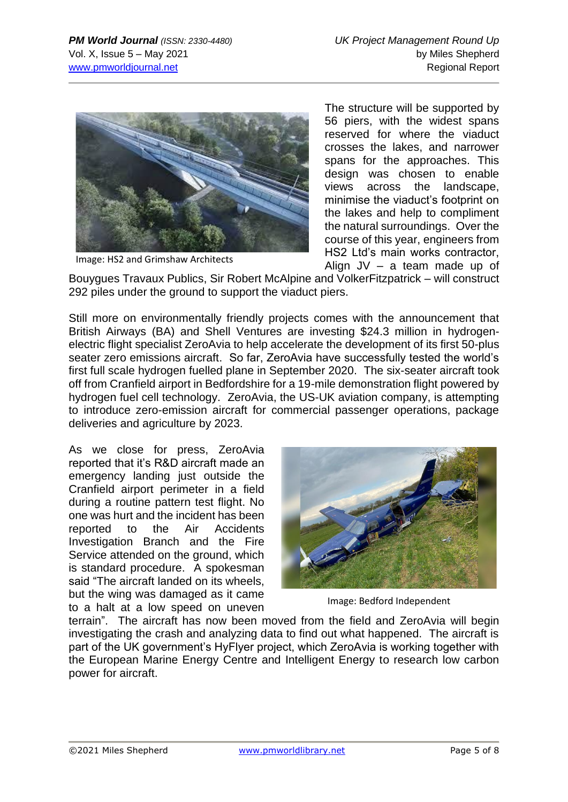

Image: HS2 and Grimshaw Architects

The structure will be supported by 56 piers, with the widest spans reserved for where the viaduct crosses the lakes, and narrower spans for the approaches. This design was chosen to enable views across the landscape, minimise the viaduct's footprint on the lakes and help to compliment the natural surroundings. Over the course of this year, engineers from HS2 Ltd's main works contractor, Align JV – a team made up of

Bouygues Travaux Publics, Sir Robert McAlpine and VolkerFitzpatrick – will construct 292 piles under the ground to support the viaduct piers.

Still more on environmentally friendly projects comes with the announcement that British Airways (BA) and Shell Ventures are investing \$24.3 million in hydrogenelectric flight specialist ZeroAvia to help accelerate the development of its first 50-plus seater zero emissions aircraft. So far, ZeroAvia have successfully tested the world's first full scale hydrogen fuelled plane in September 2020. The six-seater aircraft took off from Cranfield airport in Bedfordshire for a 19-mile demonstration flight powered by hydrogen fuel cell technology. ZeroAvia, the US-UK aviation company, is attempting to introduce zero-emission aircraft for commercial passenger operations, package deliveries and agriculture by 2023.

As we close for press, ZeroAvia reported that it's R&D aircraft made an emergency landing just outside the Cranfield airport perimeter in a field during a routine pattern test flight. No one was hurt and the incident has been reported to the Air Accidents Investigation Branch and the Fire Service attended on the ground, which is standard procedure. A spokesman said "The aircraft landed on its wheels, but the wing was damaged as it came to a halt at a low speed on uneven



Image: Bedford Independent

terrain". The aircraft has now been moved from the field and ZeroAvia will begin investigating the crash and analyzing data to find out what happened. The aircraft is part of the UK government's HyFlyer project, which ZeroAvia is working together with the European Marine Energy Centre and Intelligent Energy to research low carbon power for aircraft.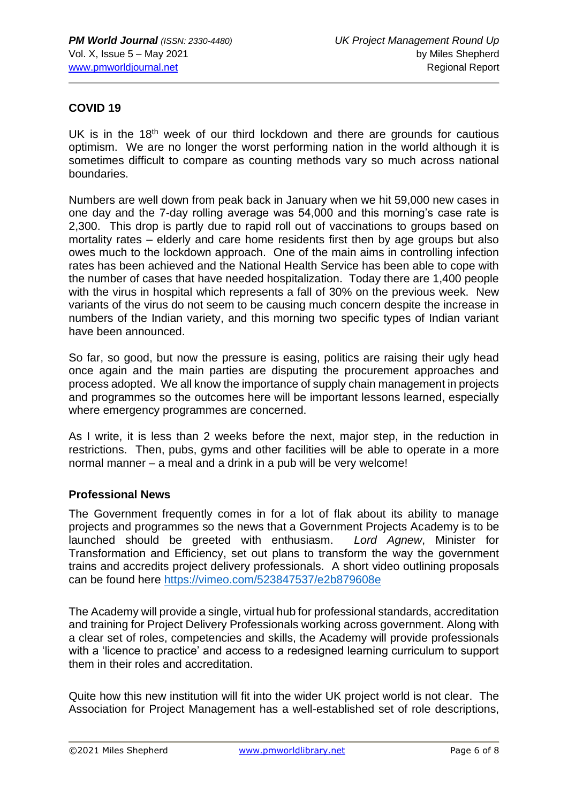#### **COVID 19**

UK is in the  $18<sup>th</sup>$  week of our third lockdown and there are grounds for cautious optimism. We are no longer the worst performing nation in the world although it is sometimes difficult to compare as counting methods vary so much across national boundaries.

Numbers are well down from peak back in January when we hit 59,000 new cases in one day and the 7-day rolling average was 54,000 and this morning's case rate is 2,300. This drop is partly due to rapid roll out of vaccinations to groups based on mortality rates – elderly and care home residents first then by age groups but also owes much to the lockdown approach. One of the main aims in controlling infection rates has been achieved and the National Health Service has been able to cope with the number of cases that have needed hospitalization. Today there are 1,400 people with the virus in hospital which represents a fall of 30% on the previous week. New variants of the virus do not seem to be causing much concern despite the increase in numbers of the Indian variety, and this morning two specific types of Indian variant have been announced.

So far, so good, but now the pressure is easing, politics are raising their ugly head once again and the main parties are disputing the procurement approaches and process adopted. We all know the importance of supply chain management in projects and programmes so the outcomes here will be important lessons learned, especially where emergency programmes are concerned.

As I write, it is less than 2 weeks before the next, major step, in the reduction in restrictions. Then, pubs, gyms and other facilities will be able to operate in a more normal manner – a meal and a drink in a pub will be very welcome!

#### **Professional News**

The Government frequently comes in for a lot of flak about its ability to manage projects and programmes so the news that a Government Projects Academy is to be launched should be greeted with enthusiasm. *Lord Agnew*, Minister for Transformation and Efficiency, set out plans to transform the way the government trains and accredits project delivery professionals. A short video outlining proposals can be found here<https://vimeo.com/523847537/e2b879608e>

The Academy will provide a single, virtual hub for professional standards, accreditation and training for Project Delivery Professionals working across government. Along with a clear set of roles, competencies and skills, the Academy will provide professionals with a 'licence to practice' and access to a redesigned learning curriculum to support them in their roles and accreditation.

Quite how this new institution will fit into the wider UK project world is not clear. The Association for Project Management has a well-established set of role descriptions,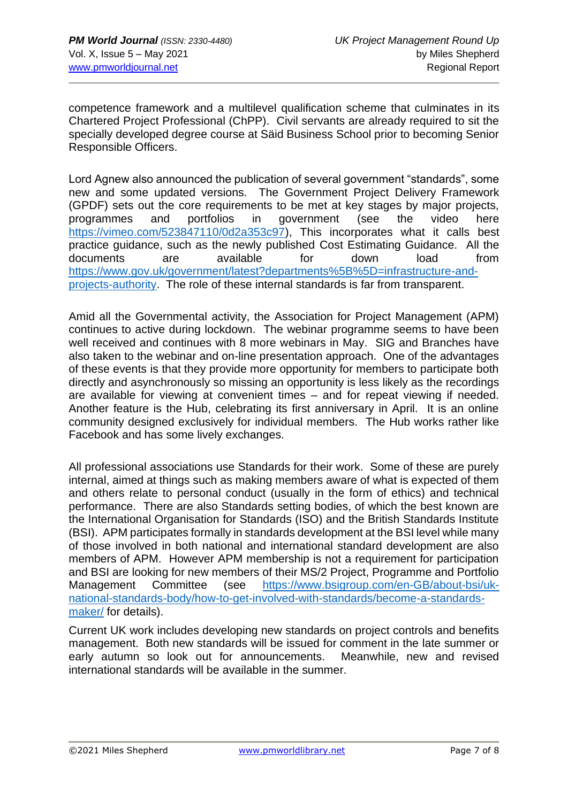competence framework and a multilevel qualification scheme that culminates in its Chartered Project Professional (ChPP). Civil servants are already required to sit the specially developed degree course at Säid Business School prior to becoming Senior Responsible Officers.

Lord Agnew also announced the publication of several government "standards", some new and some updated versions. The Government Project Delivery Framework (GPDF) sets out the core requirements to be met at key stages by major projects, programmes and portfolios in government (see the video here [https://vimeo.com/523847110/0d2a353c97\)](https://vimeo.com/523847110/0d2a353c97), This incorporates what it calls best practice guidance, such as the newly published Cost Estimating Guidance. All the documents are available for down load from [https://www.gov.uk/government/latest?departments%5B%5D=infrastructure-and](https://www.gov.uk/government/latest?departments%5B%5D=infrastructure-and-projects-authority)[projects-authority.](https://www.gov.uk/government/latest?departments%5B%5D=infrastructure-and-projects-authority) The role of these internal standards is far from transparent.

Amid all the Governmental activity, the Association for Project Management (APM) continues to active during lockdown. The webinar programme seems to have been well received and continues with 8 more webinars in May. SIG and Branches have also taken to the webinar and on-line presentation approach. One of the advantages of these events is that they provide more opportunity for members to participate both directly and asynchronously so missing an opportunity is less likely as the recordings are available for viewing at convenient times – and for repeat viewing if needed. Another feature is the Hub, celebrating its first anniversary in April. It is an online community designed exclusively for individual members. The Hub works rather like Facebook and has some lively exchanges.

All professional associations use Standards for their work. Some of these are purely internal, aimed at things such as making members aware of what is expected of them and others relate to personal conduct (usually in the form of ethics) and technical performance. There are also Standards setting bodies, of which the best known are the International Organisation for Standards (ISO) and the British Standards Institute (BSI). APM participates formally in standards development at the BSI level while many of those involved in both national and international standard development are also members of APM. However APM membership is not a requirement for participation and BSI are looking for new members of their MS/2 Project, Programme and Portfolio Management Committee (see [https://www.bsigroup.com/en-GB/about-bsi/uk](https://www.bsigroup.com/en-GB/about-bsi/uk-national-standards-body/how-to-get-involved-with-standards/become-a-standards-maker/)[national-standards-body/how-to-get-involved-with-standards/become-a-standards](https://www.bsigroup.com/en-GB/about-bsi/uk-national-standards-body/how-to-get-involved-with-standards/become-a-standards-maker/)[maker/](https://www.bsigroup.com/en-GB/about-bsi/uk-national-standards-body/how-to-get-involved-with-standards/become-a-standards-maker/) for details).

Current UK work includes developing new standards on project controls and benefits management. Both new standards will be issued for comment in the late summer or early autumn so look out for announcements. Meanwhile, new and revised international standards will be available in the summer.